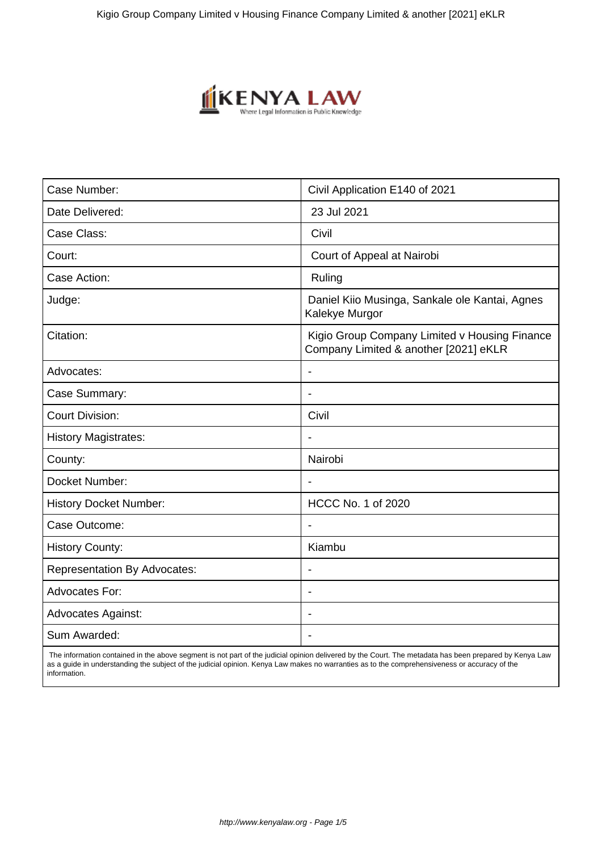

| Case Number:                        | Civil Application E140 of 2021                                                         |
|-------------------------------------|----------------------------------------------------------------------------------------|
| Date Delivered:                     | 23 Jul 2021                                                                            |
| Case Class:                         | Civil                                                                                  |
| Court:                              | Court of Appeal at Nairobi                                                             |
| Case Action:                        | Ruling                                                                                 |
| Judge:                              | Daniel Kiio Musinga, Sankale ole Kantai, Agnes<br>Kalekye Murgor                       |
| Citation:                           | Kigio Group Company Limited v Housing Finance<br>Company Limited & another [2021] eKLR |
| Advocates:                          | $\overline{\phantom{0}}$                                                               |
| Case Summary:                       | $\overline{\phantom{a}}$                                                               |
| <b>Court Division:</b>              | Civil                                                                                  |
| <b>History Magistrates:</b>         |                                                                                        |
| County:                             | Nairobi                                                                                |
| Docket Number:                      | $\blacksquare$                                                                         |
| <b>History Docket Number:</b>       | <b>HCCC No. 1 of 2020</b>                                                              |
| Case Outcome:                       |                                                                                        |
| <b>History County:</b>              | Kiambu                                                                                 |
| <b>Representation By Advocates:</b> | $\blacksquare$                                                                         |
| <b>Advocates For:</b>               | $\blacksquare$                                                                         |
| <b>Advocates Against:</b>           |                                                                                        |
| Sum Awarded:                        | $\blacksquare$                                                                         |

 The information contained in the above segment is not part of the judicial opinion delivered by the Court. The metadata has been prepared by Kenya Law as a guide in understanding the subject of the judicial opinion. Kenya Law makes no warranties as to the comprehensiveness or accuracy of the information.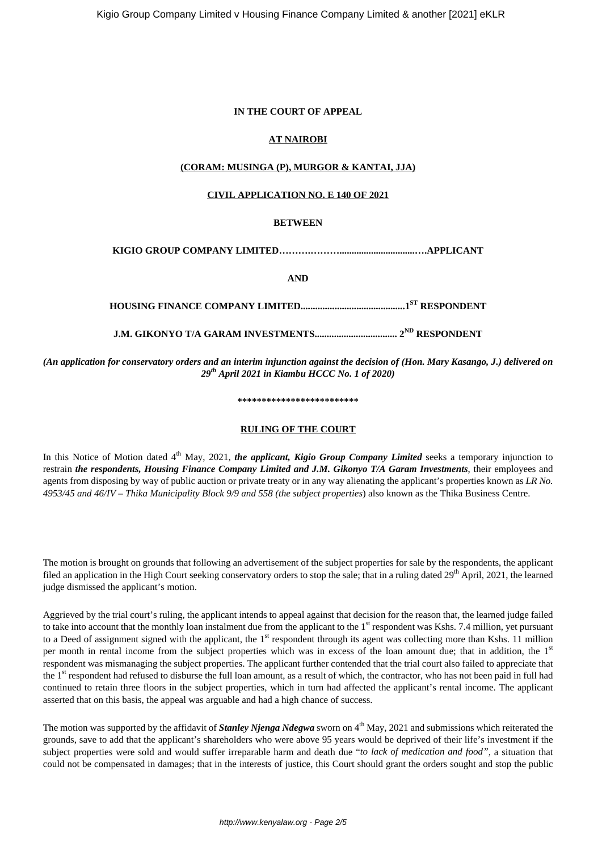# **IN THE COURT OF APPEAL**

# **AT NAIROBI**

# **(CORAM: MUSINGA (P), MURGOR & KANTAI, JJA)**

# **CIVIL APPLICATION NO. E 140 OF 2021**

# **BETWEEN**

# **KIGIO GROUP COMPANY LIMITED……….………...............................….APPLICANT**

**AND**

# **HOUSING FINANCE COMPANY LIMITED...........................................1ST RESPONDENT**

# **J.M. GIKONYO T/A GARAM INVESTMENTS.................................. 2ND RESPONDENT**

*(An application for conservatory orders and an interim injunction against the decision of (Hon. Mary Kasango, J.) delivered on 29th April 2021 in Kiambu HCCC No. 1 of 2020)*

#### **\*\*\*\*\*\*\*\*\*\*\*\*\*\*\*\*\*\*\*\*\*\*\*\*\***

# **RULING OF THE COURT**

In this Notice of Motion dated 4<sup>th</sup> May, 2021, *the applicant, Kigio Group Company Limited* seeks a temporary injunction to restrain *the respondents, Housing Finance Company Limited and J.M. Gikonyo T/A Garam Investments*, their employees and agents from disposing by way of public auction or private treaty or in any way alienating the applicant's properties known as *LR No. 4953/45 and 46/IV – Thika Municipality Block 9/9 and 558 (the subject properties*) also known as the Thika Business Centre.

The motion is brought on grounds that following an advertisement of the subject properties for sale by the respondents, the applicant filed an application in the High Court seeking conservatory orders to stop the sale; that in a ruling dated 29<sup>th</sup> April, 2021, the learned judge dismissed the applicant's motion.

Aggrieved by the trial court's ruling, the applicant intends to appeal against that decision for the reason that, the learned judge failed to take into account that the monthly loan instalment due from the applicant to the 1<sup>st</sup> respondent was Kshs. 7.4 million, yet pursuant to a Deed of assignment signed with the applicant, the 1<sup>st</sup> respondent through its agent was collecting more than Kshs. 11 million per month in rental income from the subject properties which was in excess of the loan amount due; that in addition, the  $1<sup>st</sup>$ respondent was mismanaging the subject properties. The applicant further contended that the trial court also failed to appreciate that the 1<sup>st</sup> respondent had refused to disburse the full loan amount, as a result of which, the contractor, who has not been paid in full had continued to retain three floors in the subject properties, which in turn had affected the applicant's rental income. The applicant asserted that on this basis, the appeal was arguable and had a high chance of success.

The motion was supported by the affidavit of *Stanley Njenga Ndegwa* sworn on 4<sup>th</sup> May, 2021 and submissions which reiterated the grounds, save to add that the applicant's shareholders who were above 95 years would be deprived of their life's investment if the subject properties were sold and would suffer irreparable harm and death due "*to lack of medication and food"*, a situation that could not be compensated in damages; that in the interests of justice, this Court should grant the orders sought and stop the public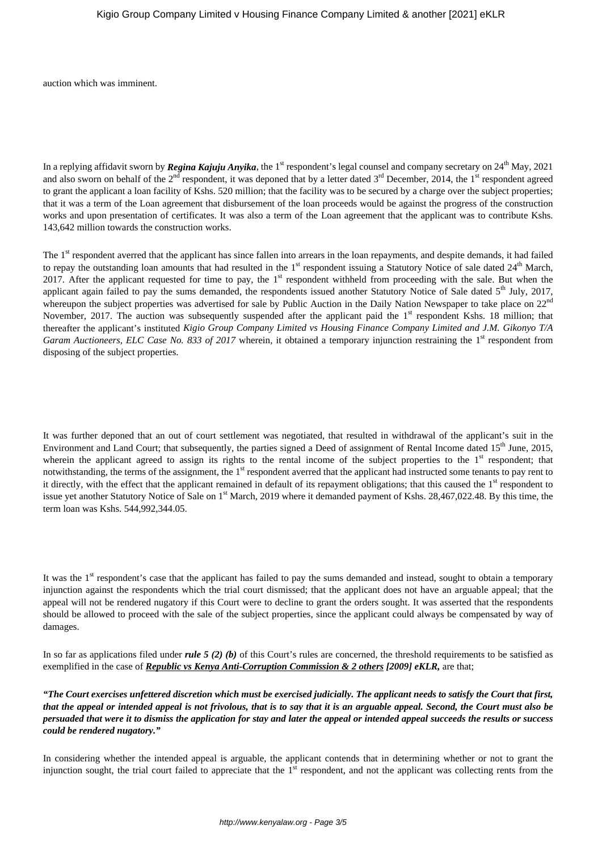auction which was imminent.

In a replying affidavit sworn by *Regina Kajuju Anyika*, the 1<sup>st</sup> respondent's legal counsel and company secretary on  $24<sup>th</sup>$  May, 2021 and also sworn on behalf of the 2<sup>nd</sup> respondent, it was deponed that by a letter dated 3<sup>rd</sup> December, 2014, the 1<sup>st</sup> respondent agreed to grant the applicant a loan facility of Kshs. 520 million; that the facility was to be secured by a charge over the subject properties; that it was a term of the Loan agreement that disbursement of the loan proceeds would be against the progress of the construction works and upon presentation of certificates. It was also a term of the Loan agreement that the applicant was to contribute Kshs. 143,642 million towards the construction works.

The 1<sup>st</sup> respondent averred that the applicant has since fallen into arrears in the loan repayments, and despite demands, it had failed to repay the outstanding loan amounts that had resulted in the  $1<sup>st</sup>$  respondent issuing a Statutory Notice of sale dated  $24<sup>th</sup>$  March, 2017. After the applicant requested for time to pay, the 1<sup>st</sup> respondent withheld from proceeding with the sale. But when the applicant again failed to pay the sums demanded, the respondents issued another Statutory Notice of Sale dated 5<sup>th</sup> July, 2017, whereupon the subject properties was advertised for sale by Public Auction in the Daily Nation Newspaper to take place on 22<sup>nd</sup> November, 2017. The auction was subsequently suspended after the applicant paid the  $1<sup>st</sup>$  respondent Kshs. 18 million; that thereafter the applicant's instituted *Kigio Group Company Limited vs Housing Finance Company Limited and J.M. Gikonyo T/A Garam Auctioneers, ELC Case No. 833 of 2017* wherein, it obtained a temporary injunction restraining the 1<sup>st</sup> respondent from disposing of the subject properties.

It was further deponed that an out of court settlement was negotiated, that resulted in withdrawal of the applicant's suit in the Environment and Land Court; that subsequently, the parties signed a Deed of assignment of Rental Income dated 15<sup>th</sup> June, 2015, wherein the applicant agreed to assign its rights to the rental income of the subject properties to the  $1<sup>st</sup>$  respondent; that notwithstanding, the terms of the assignment, the 1<sup>st</sup> respondent averred that the applicant had instructed some tenants to pay rent to it directly, with the effect that the applicant remained in default of its repayment obligations; that this caused the 1<sup>st</sup> respondent to issue yet another Statutory Notice of Sale on 1<sup>st</sup> March, 2019 where it demanded payment of Kshs, 28,467,022,48. By this time, the term loan was Kshs. 544,992,344.05.

It was the  $1<sup>st</sup>$  respondent's case that the applicant has failed to pay the sums demanded and instead, sought to obtain a temporary injunction against the respondents which the trial court dismissed; that the applicant does not have an arguable appeal; that the appeal will not be rendered nugatory if this Court were to decline to grant the orders sought. It was asserted that the respondents should be allowed to proceed with the sale of the subject properties, since the applicant could always be compensated by way of damages.

In so far as applications filed under *rule 5 (2) (b)* of this Court's rules are concerned, the threshold requirements to be satisfied as exemplified in the case of *Republic vs Kenya Anti-Corruption Commission & 2 others [2009] eKLR,* are that;

*"The Court exercises unfettered discretion which must be exercised judicially. The applicant needs to satisfy the Court that first, that the appeal or intended appeal is not frivolous, that is to say that it is an arguable appeal. Second, the Court must also be persuaded that were it to dismiss the application for stay and later the appeal or intended appeal succeeds the results or success could be rendered nugatory."*

In considering whether the intended appeal is arguable, the applicant contends that in determining whether or not to grant the injunction sought, the trial court failed to appreciate that the  $1<sup>st</sup>$  respondent, and not the applicant was collecting rents from the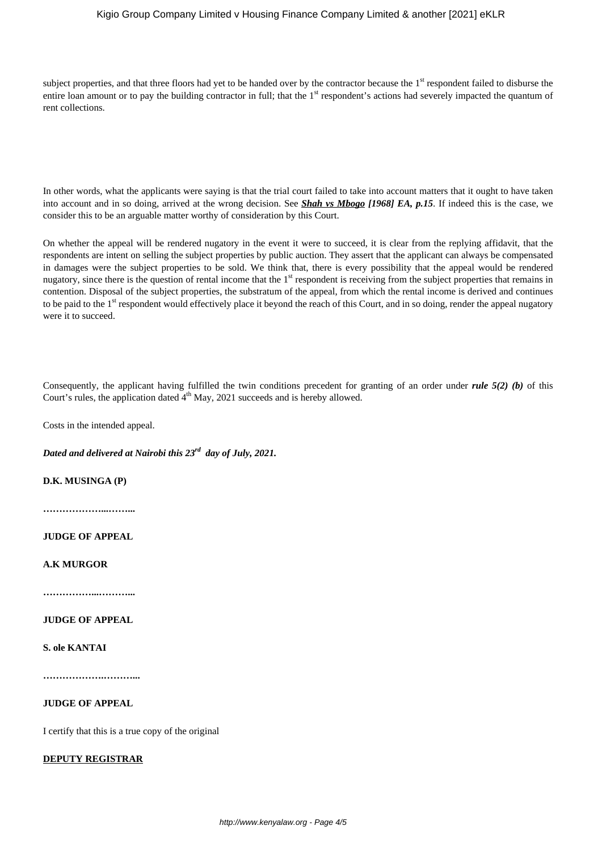# Kigio Group Company Limited v Housing Finance Company Limited & another [2021] eKLR

subject properties, and that three floors had yet to be handed over by the contractor because the 1<sup>st</sup> respondent failed to disburse the entire loan amount or to pay the building contractor in full; that the 1<sup>st</sup> respondent's actions had severely impacted the quantum of rent collections.

In other words, what the applicants were saying is that the trial court failed to take into account matters that it ought to have taken into account and in so doing, arrived at the wrong decision. See *Shah vs Mbogo [1968] EA, p.15*. If indeed this is the case, we consider this to be an arguable matter worthy of consideration by this Court.

On whether the appeal will be rendered nugatory in the event it were to succeed, it is clear from the replying affidavit, that the respondents are intent on selling the subject properties by public auction. They assert that the applicant can always be compensated in damages were the subject properties to be sold. We think that, there is every possibility that the appeal would be rendered nugatory, since there is the question of rental income that the 1<sup>st</sup> respondent is receiving from the subject properties that remains in contention. Disposal of the subject properties, the substratum of the appeal, from which the rental income is derived and continues to be paid to the 1<sup>st</sup> respondent would effectively place it beyond the reach of this Court, and in so doing, render the appeal nugatory were it to succeed.

Consequently, the applicant having fulfilled the twin conditions precedent for granting of an order under *rule 5(2) (b)* of this Court's rules, the application dated  $4<sup>th</sup>$  May, 2021 succeeds and is hereby allowed.

Costs in the intended appeal.

*Dated and delivered at Nairobi this 23rd day of July, 2021.*

**D.K. MUSINGA (P)**

**………………...……...**

**JUDGE OF APPEAL**

**A.K MURGOR**

**……………...………...**

# **JUDGE OF APPEAL**

**S. ole KANTAI**

**……………….………...**

## **JUDGE OF APPEAL**

I certify that this is a true copy of the original

### **DEPUTY REGISTRAR**